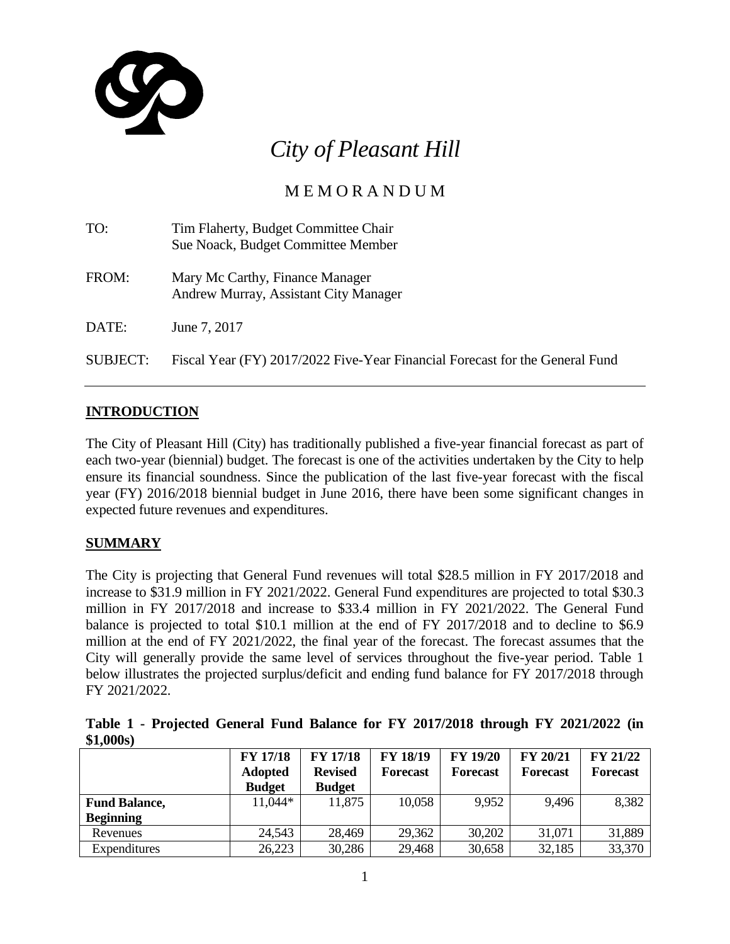

# *City of Pleasant Hill*

# M E M O R A N D U M

| TO:      | Tim Flaherty, Budget Committee Chair<br>Sue Noack, Budget Committee Member   |
|----------|------------------------------------------------------------------------------|
| FROM:    | Mary Mc Carthy, Finance Manager<br>Andrew Murray, Assistant City Manager     |
| DATE:    | June 7, 2017                                                                 |
| SUBJECT: | Fiscal Year (FY) 2017/2022 Five-Year Financial Forecast for the General Fund |

# **INTRODUCTION**

The City of Pleasant Hill (City) has traditionally published a five-year financial forecast as part of each two-year (biennial) budget. The forecast is one of the activities undertaken by the City to help ensure its financial soundness. Since the publication of the last five-year forecast with the fiscal year (FY) 2016/2018 biennial budget in June 2016, there have been some significant changes in expected future revenues and expenditures.

# **SUMMARY**

The City is projecting that General Fund revenues will total \$28.5 million in FY 2017/2018 and increase to \$31.9 million in FY 2021/2022. General Fund expenditures are projected to total \$30.3 million in FY 2017/2018 and increase to \$33.4 million in FY 2021/2022. The General Fund balance is projected to total \$10.1 million at the end of FY 2017/2018 and to decline to \$6.9 million at the end of FY 2021/2022, the final year of the forecast. The forecast assumes that the City will generally provide the same level of services throughout the five-year period. Table 1 below illustrates the projected surplus/deficit and ending fund balance for FY 2017/2018 through FY 2021/2022.

**Table 1 - Projected General Fund Balance for FY 2017/2018 through FY 2021/2022 (in \$1,000s)**

|                      | <b>FY 17/18</b> | <b>FY 17/18</b> | <b>FY 18/19</b> | <b>FY 19/20</b> | FY 20/21        | <b>FY 21/22</b> |
|----------------------|-----------------|-----------------|-----------------|-----------------|-----------------|-----------------|
|                      | <b>Adopted</b>  | <b>Revised</b>  | <b>Forecast</b> | <b>Forecast</b> | <b>Forecast</b> | <b>Forecast</b> |
|                      | <b>Budget</b>   | <b>Budget</b>   |                 |                 |                 |                 |
| <b>Fund Balance,</b> | 11,044*         | 11,875          | 10,058          | 9,952           | 9.496           | 8,382           |
| <b>Beginning</b>     |                 |                 |                 |                 |                 |                 |
| Revenues             | 24,543          | 28,469          | 29,362          | 30,202          | 31,071          | 31,889          |
| Expenditures         | 26,223          | 30,286          | 29,468          | 30,658          | 32,185          | 33,370          |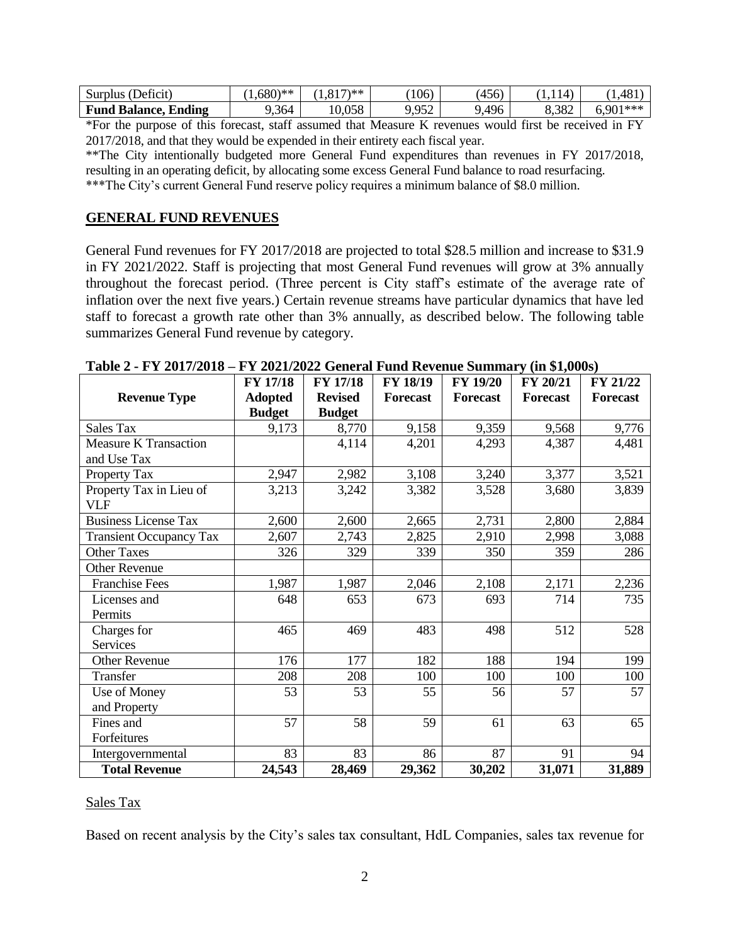| Surplus (Deficit)           | $0.680$ <sup>**</sup> | $817$ $**$<br>.81 | 106                    | (456) | (14)  | ,481    |
|-----------------------------|-----------------------|-------------------|------------------------|-------|-------|---------|
| <b>Fund Balance, Ending</b> | , 364                 | 0,058             | ۵۲٬۰<br>. . <i>.</i> . | ,496  | 8,382 | .901*** |

\*For the purpose of this forecast, staff assumed that Measure K revenues would first be received in FY 2017/2018, and that they would be expended in their entirety each fiscal year.

\*\*The City intentionally budgeted more General Fund expenditures than revenues in FY 2017/2018, resulting in an operating deficit, by allocating some excess General Fund balance to road resurfacing. \*\*\*The City's current General Fund reserve policy requires a minimum balance of \$8.0 million.

#### **GENERAL FUND REVENUES**

General Fund revenues for FY 2017/2018 are projected to total \$28.5 million and increase to \$31.9 in FY 2021/2022. Staff is projecting that most General Fund revenues will grow at 3% annually throughout the forecast period. (Three percent is City staff's estimate of the average rate of inflation over the next five years.) Certain revenue streams have particular dynamics that have led staff to forecast a growth rate other than 3% annually, as described below. The following table summarizes General Fund revenue by category.

|                                | <b>FY 17/18</b> | <b>FY 17/18</b> | <b>FY 18/19</b> | <b>FY 19/20</b> | FY 20/21        | FY 21/22        |
|--------------------------------|-----------------|-----------------|-----------------|-----------------|-----------------|-----------------|
| <b>Revenue Type</b>            | <b>Adopted</b>  | <b>Revised</b>  | <b>Forecast</b> | Forecast        | <b>Forecast</b> | <b>Forecast</b> |
|                                | <b>Budget</b>   | <b>Budget</b>   |                 |                 |                 |                 |
| <b>Sales Tax</b>               | 9,173           | 8,770           | 9,158           | 9,359           | 9,568           | 9,776           |
| <b>Measure K Transaction</b>   |                 | 4,114           | 4,201           | 4,293           | 4,387           | 4,481           |
| and Use Tax                    |                 |                 |                 |                 |                 |                 |
| Property Tax                   | 2,947           | 2,982           | 3,108           | 3,240           | 3,377           | 3,521           |
| Property Tax in Lieu of        | 3,213           | 3,242           | 3,382           | 3,528           | 3,680           | 3,839           |
| <b>VLF</b>                     |                 |                 |                 |                 |                 |                 |
| <b>Business License Tax</b>    | 2,600           | 2,600           | 2,665           | 2,731           | 2,800           | 2,884           |
| <b>Transient Occupancy Tax</b> | 2,607           | 2,743           | 2,825           | 2,910           | 2,998           | 3,088           |
| <b>Other Taxes</b>             | 326             | 329             | 339             | 350             | 359             | 286             |
| <b>Other Revenue</b>           |                 |                 |                 |                 |                 |                 |
| <b>Franchise Fees</b>          | 1,987           | 1,987           | 2,046           | 2,108           | 2,171           | 2,236           |
| Licenses and                   | 648             | 653             | 673             | 693             | 714             | 735             |
| Permits                        |                 |                 |                 |                 |                 |                 |
| Charges for                    | 465             | 469             | 483             | 498             | 512             | 528             |
| <b>Services</b>                |                 |                 |                 |                 |                 |                 |
| <b>Other Revenue</b>           | 176             | 177             | 182             | 188             | 194             | 199             |
| Transfer                       | 208             | 208             | 100             | 100             | 100             | 100             |
| Use of Money                   | 53              | 53              | 55              | 56              | 57              | 57              |
| and Property                   |                 |                 |                 |                 |                 |                 |
| Fines and                      | 57              | 58              | 59              | 61              | 63              | 65              |
| Forfeitures                    |                 |                 |                 |                 |                 |                 |
| Intergovernmental              | 83              | 83              | 86              | 87              | 91              | 94              |
| <b>Total Revenue</b>           | 24,543          | 28,469          | 29,362          | 30,202          | 31,071          | 31,889          |

**Table 2 - FY 2017/2018 – FY 2021/2022 General Fund Revenue Summary (in \$1,000s)**

#### Sales Tax

Based on recent analysis by the City's sales tax consultant, HdL Companies, sales tax revenue for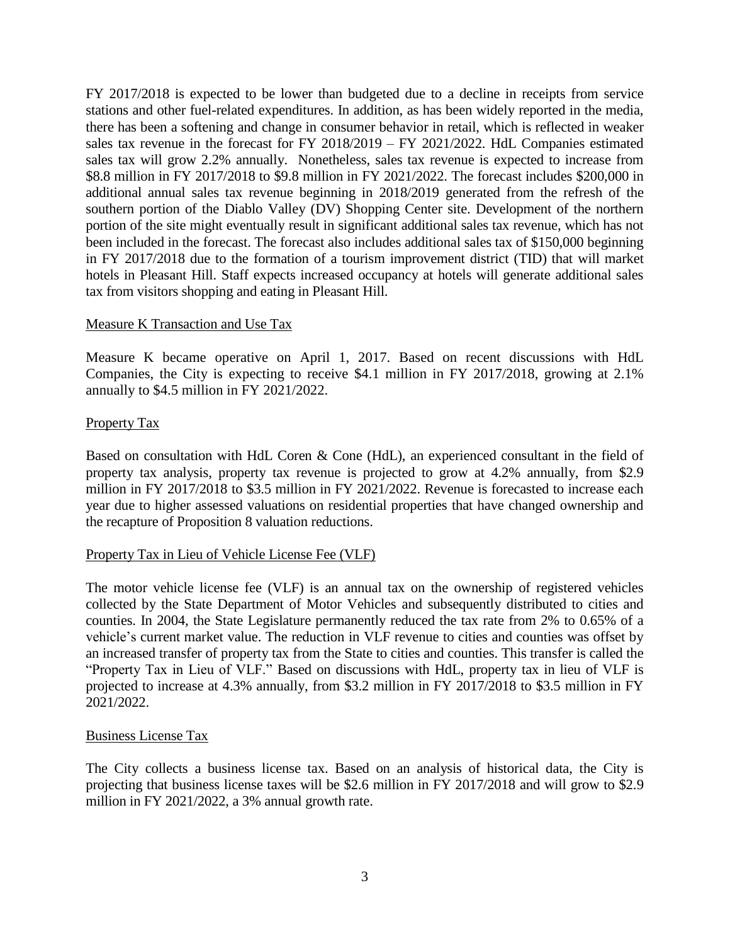FY 2017/2018 is expected to be lower than budgeted due to a decline in receipts from service stations and other fuel-related expenditures. In addition, as has been widely reported in the media, there has been a softening and change in consumer behavior in retail, which is reflected in weaker sales tax revenue in the forecast for FY 2018/2019 – FY 2021/2022. HdL Companies estimated sales tax will grow 2.2% annually. Nonetheless, sales tax revenue is expected to increase from \$8.8 million in FY 2017/2018 to \$9.8 million in FY 2021/2022. The forecast includes \$200,000 in additional annual sales tax revenue beginning in 2018/2019 generated from the refresh of the southern portion of the Diablo Valley (DV) Shopping Center site. Development of the northern portion of the site might eventually result in significant additional sales tax revenue, which has not been included in the forecast. The forecast also includes additional sales tax of \$150,000 beginning in FY 2017/2018 due to the formation of a tourism improvement district (TID) that will market hotels in Pleasant Hill. Staff expects increased occupancy at hotels will generate additional sales tax from visitors shopping and eating in Pleasant Hill.

#### Measure K Transaction and Use Tax

Measure K became operative on April 1, 2017. Based on recent discussions with HdL Companies, the City is expecting to receive \$4.1 million in FY 2017/2018, growing at 2.1% annually to \$4.5 million in FY 2021/2022.

## Property Tax

Based on consultation with HdL Coren & Cone (HdL), an experienced consultant in the field of property tax analysis, property tax revenue is projected to grow at 4.2% annually, from \$2.9 million in FY 2017/2018 to \$3.5 million in FY 2021/2022. Revenue is forecasted to increase each year due to higher assessed valuations on residential properties that have changed ownership and the recapture of Proposition 8 valuation reductions.

#### Property Tax in Lieu of Vehicle License Fee (VLF)

The motor vehicle license fee (VLF) is an annual tax on the ownership of registered vehicles collected by the State Department of Motor Vehicles and subsequently distributed to cities and counties. In 2004, the State Legislature permanently reduced the tax rate from 2% to 0.65% of a vehicle's current market value. The reduction in VLF revenue to cities and counties was offset by an increased transfer of property tax from the State to cities and counties. This transfer is called the "Property Tax in Lieu of VLF." Based on discussions with HdL, property tax in lieu of VLF is projected to increase at 4.3% annually, from \$3.2 million in FY 2017/2018 to \$3.5 million in FY 2021/2022.

#### Business License Tax

The City collects a business license tax. Based on an analysis of historical data, the City is projecting that business license taxes will be \$2.6 million in FY 2017/2018 and will grow to \$2.9 million in FY 2021/2022, a 3% annual growth rate.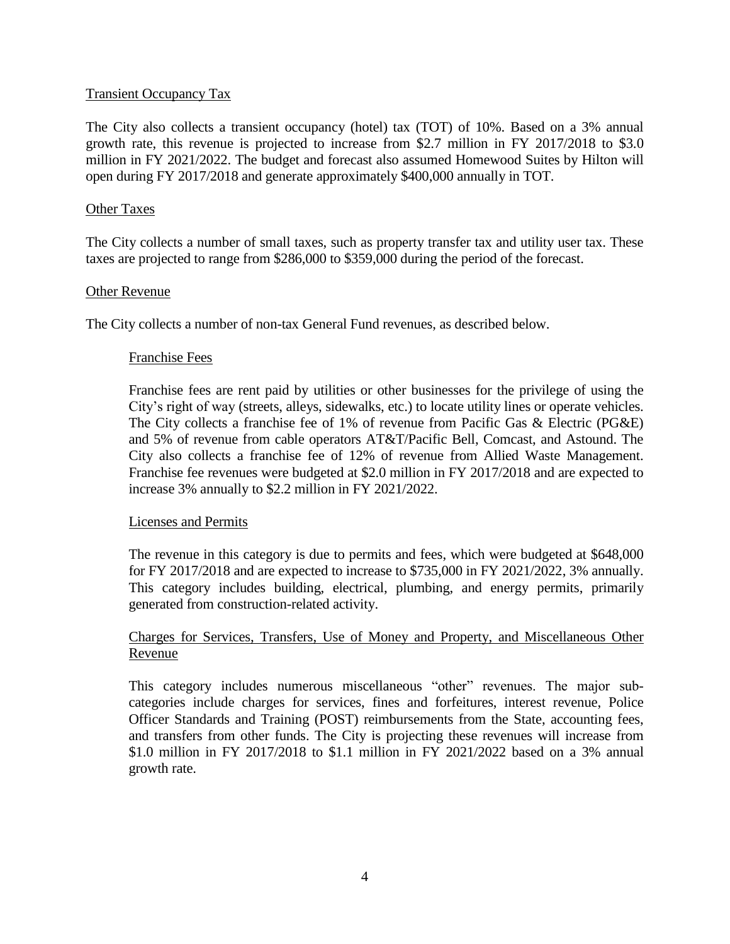#### Transient Occupancy Tax

The City also collects a transient occupancy (hotel) tax (TOT) of 10%. Based on a 3% annual growth rate, this revenue is projected to increase from \$2.7 million in FY 2017/2018 to \$3.0 million in FY 2021/2022. The budget and forecast also assumed Homewood Suites by Hilton will open during FY 2017/2018 and generate approximately \$400,000 annually in TOT.

#### Other Taxes

The City collects a number of small taxes, such as property transfer tax and utility user tax. These taxes are projected to range from \$286,000 to \$359,000 during the period of the forecast.

#### Other Revenue

The City collects a number of non-tax General Fund revenues, as described below.

#### Franchise Fees

Franchise fees are rent paid by utilities or other businesses for the privilege of using the City's right of way (streets, alleys, sidewalks, etc.) to locate utility lines or operate vehicles. The City collects a franchise fee of 1% of revenue from Pacific Gas & Electric (PG&E) and 5% of revenue from cable operators AT&T/Pacific Bell, Comcast, and Astound. The City also collects a franchise fee of 12% of revenue from Allied Waste Management. Franchise fee revenues were budgeted at \$2.0 million in FY 2017/2018 and are expected to increase 3% annually to \$2.2 million in FY 2021/2022.

#### Licenses and Permits

The revenue in this category is due to permits and fees, which were budgeted at \$648,000 for FY 2017/2018 and are expected to increase to \$735,000 in FY 2021/2022, 3% annually. This category includes building, electrical, plumbing, and energy permits, primarily generated from construction-related activity.

#### Charges for Services, Transfers, Use of Money and Property, and Miscellaneous Other Revenue

This category includes numerous miscellaneous "other" revenues. The major subcategories include charges for services, fines and forfeitures, interest revenue, Police Officer Standards and Training (POST) reimbursements from the State, accounting fees, and transfers from other funds. The City is projecting these revenues will increase from \$1.0 million in FY 2017/2018 to \$1.1 million in FY 2021/2022 based on a 3% annual growth rate.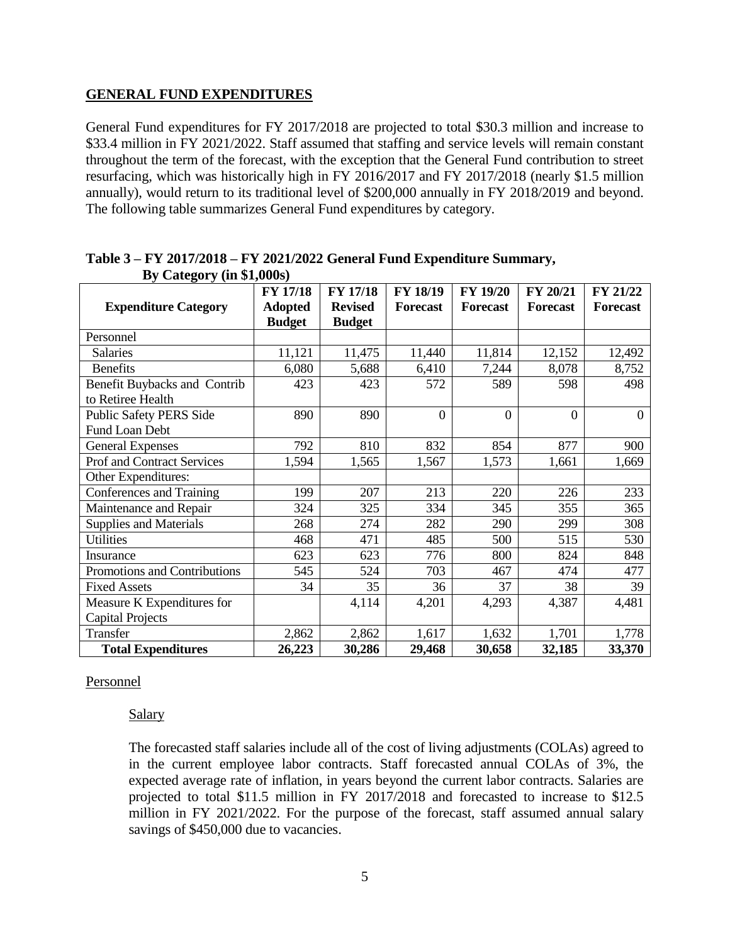#### **GENERAL FUND EXPENDITURES**

General Fund expenditures for FY 2017/2018 are projected to total \$30.3 million and increase to \$33.4 million in FY 2021/2022. Staff assumed that staffing and service levels will remain constant throughout the term of the forecast, with the exception that the General Fund contribution to street resurfacing, which was historically high in FY 2016/2017 and FY 2017/2018 (nearly \$1.5 million annually), would return to its traditional level of \$200,000 annually in FY 2018/2019 and beyond. The following table summarizes General Fund expenditures by category.

| $D_y$ category (in $\varphi$ 1,0005) | FY 17/18       | <b>FY 17/18</b> | FY 18/19       | <b>FY 19/20</b> | FY 20/21        | FY 21/22        |
|--------------------------------------|----------------|-----------------|----------------|-----------------|-----------------|-----------------|
|                                      |                |                 |                |                 |                 |                 |
| <b>Expenditure Category</b>          | <b>Adopted</b> | <b>Revised</b>  | Forecast       | <b>Forecast</b> | <b>Forecast</b> | <b>Forecast</b> |
|                                      | <b>Budget</b>  | <b>Budget</b>   |                |                 |                 |                 |
| Personnel                            |                |                 |                |                 |                 |                 |
| <b>Salaries</b>                      | 11,121         | 11,475          | 11,440         | 11,814          | 12,152          | 12,492          |
| <b>Benefits</b>                      | 6,080          | 5,688           | 6,410          | 7,244           | 8,078           | 8,752           |
| Benefit Buybacks and Contrib         | 423            | 423             | 572            | 589             | 598             | 498             |
| to Retiree Health                    |                |                 |                |                 |                 |                 |
| <b>Public Safety PERS Side</b>       | 890            | 890             | $\overline{0}$ | $\overline{0}$  | $\theta$        | $\overline{0}$  |
| Fund Loan Debt                       |                |                 |                |                 |                 |                 |
| <b>General Expenses</b>              | 792            | 810             | 832            | 854             | 877             | 900             |
| <b>Prof and Contract Services</b>    | 1,594          | 1,565           | 1,567          | 1,573           | 1,661           | 1,669           |
| Other Expenditures:                  |                |                 |                |                 |                 |                 |
| Conferences and Training             | 199            | 207             | 213            | 220             | 226             | 233             |
| Maintenance and Repair               | 324            | 325             | 334            | 345             | 355             | 365             |
| <b>Supplies and Materials</b>        | 268            | 274             | 282            | 290             | 299             | 308             |
| <b>Utilities</b>                     | 468            | 471             | 485            | 500             | 515             | 530             |
| Insurance                            | 623            | 623             | 776            | 800             | 824             | 848             |
| Promotions and Contributions         | 545            | 524             | 703            | 467             | 474             | 477             |
| <b>Fixed Assets</b>                  | 34             | 35              | 36             | 37              | 38              | 39              |
| Measure K Expenditures for           |                | 4,114           | 4,201          | 4,293           | 4,387           | 4,481           |
| <b>Capital Projects</b>              |                |                 |                |                 |                 |                 |
| Transfer                             | 2,862          | 2,862           | 1,617          | 1,632           | 1,701           | 1,778           |
| <b>Total Expenditures</b>            | 26,223         | 30,286          | 29,468         | 30,658          | 32,185          | 33,370          |

#### **Table 3 – FY 2017/2018 – FY 2021/2022 General Fund Expenditure Summary, By Category (in \$1,000s)**

#### Personnel

#### Salary

The forecasted staff salaries include all of the cost of living adjustments (COLAs) agreed to in the current employee labor contracts. Staff forecasted annual COLAs of 3%, the expected average rate of inflation, in years beyond the current labor contracts. Salaries are projected to total \$11.5 million in FY 2017/2018 and forecasted to increase to \$12.5 million in FY 2021/2022. For the purpose of the forecast, staff assumed annual salary savings of \$450,000 due to vacancies.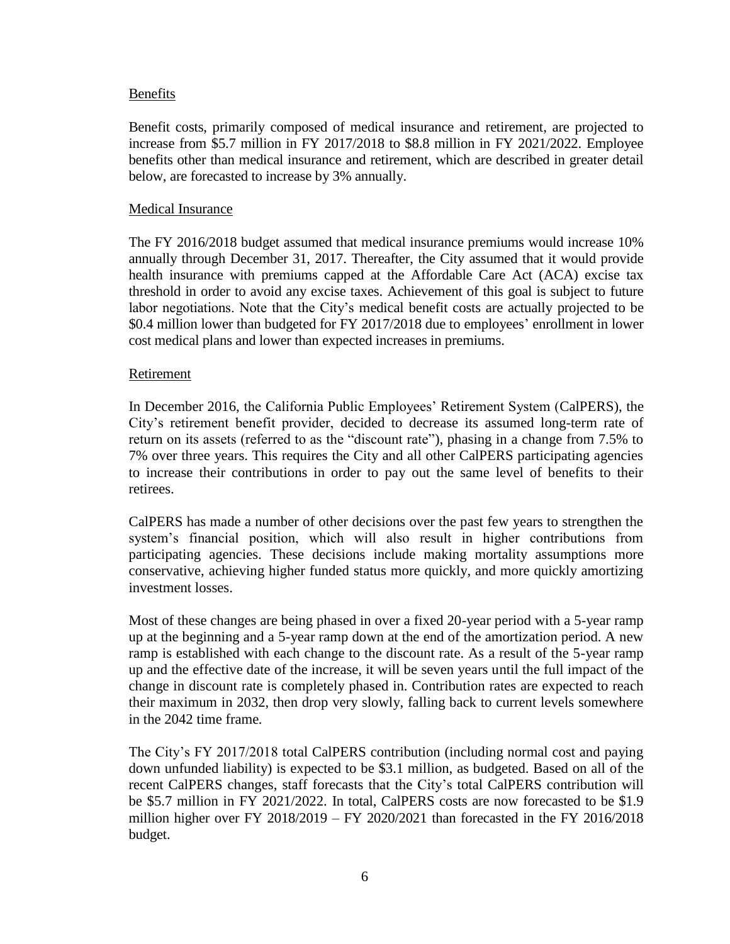#### Benefits

Benefit costs, primarily composed of medical insurance and retirement, are projected to increase from \$5.7 million in FY 2017/2018 to \$8.8 million in FY 2021/2022. Employee benefits other than medical insurance and retirement, which are described in greater detail below, are forecasted to increase by 3% annually.

#### Medical Insurance

The FY 2016/2018 budget assumed that medical insurance premiums would increase 10% annually through December 31, 2017. Thereafter, the City assumed that it would provide health insurance with premiums capped at the Affordable Care Act (ACA) excise tax threshold in order to avoid any excise taxes. Achievement of this goal is subject to future labor negotiations. Note that the City's medical benefit costs are actually projected to be \$0.4 million lower than budgeted for FY 2017/2018 due to employees' enrollment in lower cost medical plans and lower than expected increases in premiums.

#### Retirement

In December 2016, the California Public Employees' Retirement System (CalPERS), the City's retirement benefit provider, decided to decrease its assumed long-term rate of return on its assets (referred to as the "discount rate"), phasing in a change from 7.5% to 7% over three years. This requires the City and all other CalPERS participating agencies to increase their contributions in order to pay out the same level of benefits to their retirees.

CalPERS has made a number of other decisions over the past few years to strengthen the system's financial position, which will also result in higher contributions from participating agencies. These decisions include making mortality assumptions more conservative, achieving higher funded status more quickly, and more quickly amortizing investment losses.

Most of these changes are being phased in over a fixed 20-year period with a 5-year ramp up at the beginning and a 5-year ramp down at the end of the amortization period. A new ramp is established with each change to the discount rate. As a result of the 5-year ramp up and the effective date of the increase, it will be seven years until the full impact of the change in discount rate is completely phased in. Contribution rates are expected to reach their maximum in 2032, then drop very slowly, falling back to current levels somewhere in the 2042 time frame*.* 

The City's FY 2017/2018 total CalPERS contribution (including normal cost and paying down unfunded liability) is expected to be \$3.1 million, as budgeted. Based on all of the recent CalPERS changes, staff forecasts that the City's total CalPERS contribution will be \$5.7 million in FY 2021/2022. In total, CalPERS costs are now forecasted to be \$1.9 million higher over FY 2018/2019 – FY 2020/2021 than forecasted in the FY 2016/2018 budget.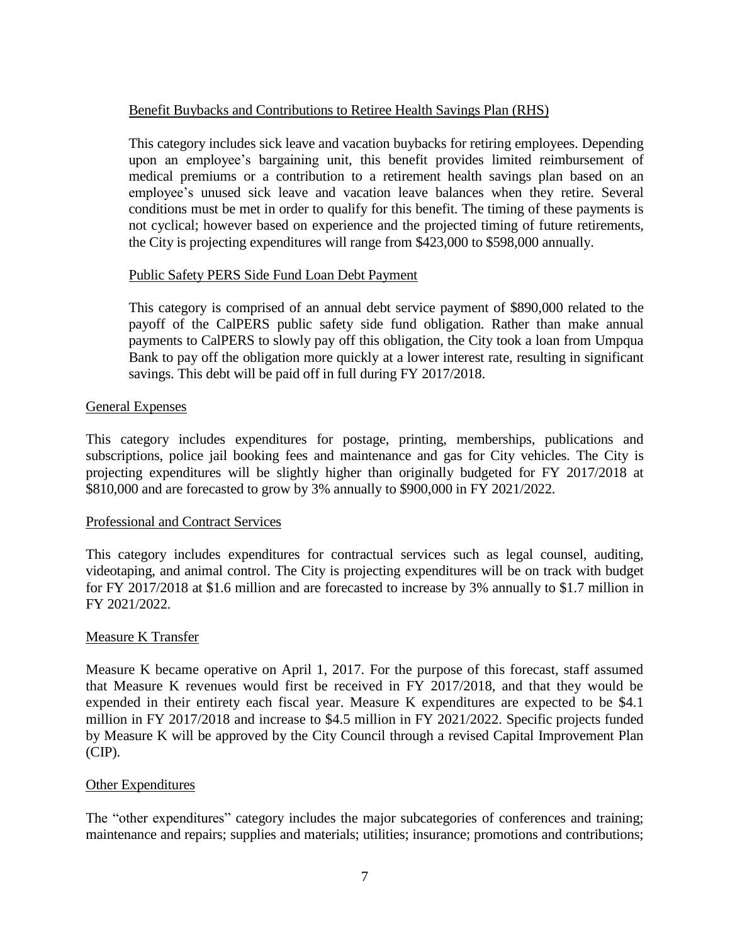#### Benefit Buybacks and Contributions to Retiree Health Savings Plan (RHS)

This category includes sick leave and vacation buybacks for retiring employees. Depending upon an employee's bargaining unit, this benefit provides limited reimbursement of medical premiums or a contribution to a retirement health savings plan based on an employee's unused sick leave and vacation leave balances when they retire. Several conditions must be met in order to qualify for this benefit. The timing of these payments is not cyclical; however based on experience and the projected timing of future retirements, the City is projecting expenditures will range from \$423,000 to \$598,000 annually.

#### Public Safety PERS Side Fund Loan Debt Payment

This category is comprised of an annual debt service payment of \$890,000 related to the payoff of the CalPERS public safety side fund obligation. Rather than make annual payments to CalPERS to slowly pay off this obligation, the City took a loan from Umpqua Bank to pay off the obligation more quickly at a lower interest rate, resulting in significant savings. This debt will be paid off in full during FY 2017/2018.

## General Expenses

This category includes expenditures for postage, printing, memberships, publications and subscriptions, police jail booking fees and maintenance and gas for City vehicles. The City is projecting expenditures will be slightly higher than originally budgeted for FY 2017/2018 at \$810,000 and are forecasted to grow by 3% annually to \$900,000 in FY 2021/2022.

#### Professional and Contract Services

This category includes expenditures for contractual services such as legal counsel, auditing, videotaping, and animal control. The City is projecting expenditures will be on track with budget for FY 2017/2018 at \$1.6 million and are forecasted to increase by 3% annually to \$1.7 million in FY 2021/2022.

#### Measure K Transfer

Measure K became operative on April 1, 2017. For the purpose of this forecast, staff assumed that Measure K revenues would first be received in FY 2017/2018, and that they would be expended in their entirety each fiscal year. Measure K expenditures are expected to be \$4.1 million in FY 2017/2018 and increase to \$4.5 million in FY 2021/2022. Specific projects funded by Measure K will be approved by the City Council through a revised Capital Improvement Plan (CIP).

#### Other Expenditures

The "other expenditures" category includes the major subcategories of conferences and training; maintenance and repairs; supplies and materials; utilities; insurance; promotions and contributions;